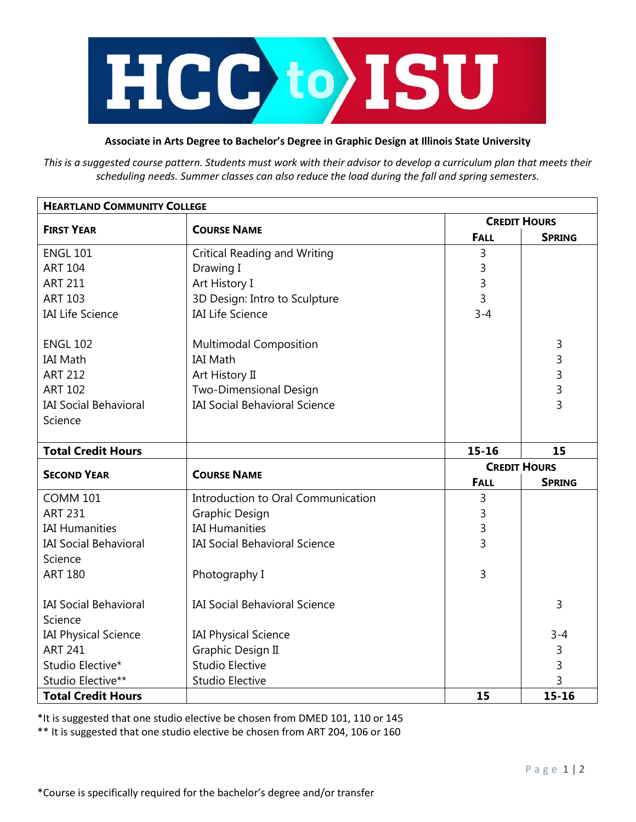

## **Associate in Arts Degree to Bachelor's Degree in Graphic Design at Illinois State University**

*This is a suggested course pattern. Students must work with their advisor to develop a curriculum plan that meets their scheduling needs. Summer classes can also reduce the load during the fall and spring semesters.*

| <b>HEARTLAND COMMUNITY COLLEGE</b> |                                      |                     |                |  |
|------------------------------------|--------------------------------------|---------------------|----------------|--|
|                                    | <b>COURSE NAME</b>                   | <b>CREDIT HOURS</b> |                |  |
| <b>FIRST YEAR</b>                  |                                      | <b>FALL</b>         | <b>SPRING</b>  |  |
| <b>ENGL 101</b>                    | <b>Critical Reading and Writing</b>  | 3                   |                |  |
| <b>ART 104</b>                     | Drawing I                            | 3                   |                |  |
| <b>ART 211</b>                     | Art History I                        | 3                   |                |  |
| <b>ART 103</b>                     | 3D Design: Intro to Sculpture        | 3                   |                |  |
| <b>IAI Life Science</b>            | <b>IAI Life Science</b>              | $3 - 4$             |                |  |
| <b>ENGL 102</b>                    | <b>Multimodal Composition</b>        |                     | 3              |  |
| <b>IAI Math</b>                    | <b>IAI Math</b>                      |                     | 3              |  |
| <b>ART 212</b>                     | Art History II                       |                     | 3              |  |
| <b>ART 102</b>                     | Two-Dimensional Design               |                     | $\overline{3}$ |  |
| <b>IAI Social Behavioral</b>       | <b>IAI Social Behavioral Science</b> |                     | $\overline{3}$ |  |
| Science                            |                                      |                     |                |  |
|                                    |                                      |                     |                |  |
| <b>Total Credit Hours</b>          |                                      | $15 - 16$           | 15             |  |
| <b>SECOND YEAR</b>                 | <b>COURSE NAME</b>                   | <b>CREDIT HOURS</b> |                |  |
|                                    |                                      | <b>FALL</b>         | <b>SPRING</b>  |  |
| <b>COMM 101</b>                    | Introduction to Oral Communication   | 3                   |                |  |
| <b>ART 231</b>                     | Graphic Design                       | 3                   |                |  |
| <b>IAI Humanities</b>              | <b>IAI Humanities</b>                | 3                   |                |  |
| <b>IAI Social Behavioral</b>       | <b>IAI Social Behavioral Science</b> | 3                   |                |  |
| Science                            |                                      |                     |                |  |
| <b>ART 180</b>                     | Photography I                        | 3                   |                |  |
| <b>IAI Social Behavioral</b>       | <b>IAI Social Behavioral Science</b> |                     | 3              |  |
| Science                            |                                      |                     |                |  |
| <b>IAI Physical Science</b>        | <b>IAI Physical Science</b>          |                     | $3 - 4$        |  |
| <b>ART 241</b>                     | Graphic Design II                    |                     | 3              |  |
| Studio Elective*                   | <b>Studio Elective</b>               |                     | 3              |  |
| Studio Elective**                  | <b>Studio Elective</b>               |                     | 3              |  |
| <b>Total Credit Hours</b>          |                                      | 15                  | $15 - 16$      |  |

\*It is suggested that one studio elective be chosen from DMED 101, 110 or 145

\*\* It is suggested that one studio elective be chosen from ART 204, 106 or 160